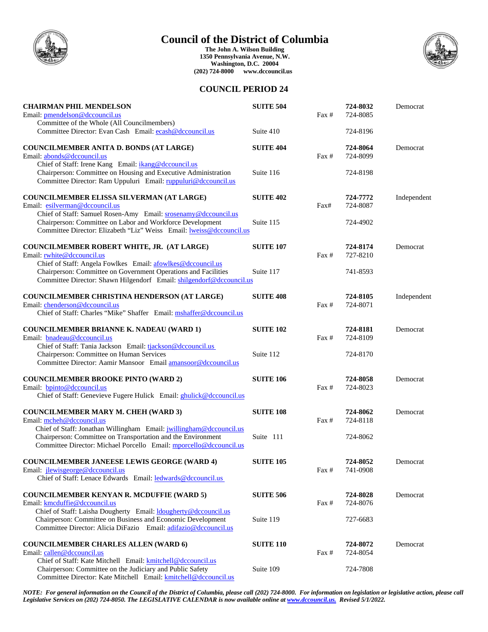

# **Council of the District of Columbia**

**The John A. Wilson Building 1350 Pennsylvania Avenue, N.W. Washington, D.C. 20004 (202) 724-8000 www.dccouncil.us**



# **COUNCIL PERIOD 24**

| <b>CHAIRMAN PHIL MENDELSON</b><br>Email: pmendelson@dccouncil.us<br>Committee of the Whole (All Councilmembers)                                                                                                           | <b>SUITE 504</b> | Fax #           | 724-8032<br>724-8085 | Democrat    |
|---------------------------------------------------------------------------------------------------------------------------------------------------------------------------------------------------------------------------|------------------|-----------------|----------------------|-------------|
| Committee Director: Evan Cash Email: ecash@dccouncil.us                                                                                                                                                                   | Suite 410        |                 | 724-8196             |             |
| COUNCILMEMBER ANITA D. BONDS (AT LARGE)<br>Email: abonds@dccouncil.us<br>Chief of Staff: Irene Kang Email: <i>ikang@dccouncil.us</i>                                                                                      | <b>SUITE 404</b> | Fax #           | 724-8064<br>724-8099 | Democrat    |
| Chairperson: Committee on Housing and Executive Administration<br>Committee Director: Ram Uppuluri Email: ruppuluri@dccouncil.us                                                                                          | Suite 116        |                 | 724-8198             |             |
| <b>COUNCILMEMBER ELISSA SILVERMAN (AT LARGE)</b><br>Email: esilverman@dccouncil.us                                                                                                                                        | <b>SUITE 402</b> | Fax#            | 724-7772<br>724-8087 | Independent |
| Chief of Staff: Samuel Rosen-Amy Email: srosenamy@dccouncil.us<br>Chairperson: Committee on Labor and Workforce Development<br>Committee Director: Elizabeth "Liz" Weiss Email: lweiss@dccouncil.us                       | Suite 115        |                 | 724-4902             |             |
| COUNCILMEMBER ROBERT WHITE, JR. (AT LARGE)<br>Email: rwhite@dccouncil.us                                                                                                                                                  | <b>SUITE 107</b> | Fax#            | 724-8174<br>727-8210 | Democrat    |
| Chief of Staff: Angela Fowlkes Email: afowlkes@dccouncil.us<br>Chairperson: Committee on Government Operations and Facilities<br>Committee Director: Shawn Hilgendorf Email: shilgendorf@dccouncil.us                     | Suite 117        |                 | 741-8593             |             |
| <b>COUNCILMEMBER CHRISTINA HENDERSON (AT LARGE)</b><br>Email: chenderson@dccouncil.us<br>Chief of Staff: Charles "Mike" Shaffer Email: mshaffer@dccouncil.us                                                              | <b>SUITE 408</b> | Fax #           | 724-8105<br>724-8071 | Independent |
| <b>COUNCILMEMBER BRIANNE K. NADEAU (WARD 1)</b><br>Email: bnadeau@dccouncil.us                                                                                                                                            | <b>SUITE 102</b> | Fax #           | 724-8181<br>724-8109 | Democrat    |
| Chief of Staff: Tania Jackson Email: tjackson@dccouncil.us<br>Chairperson: Committee on Human Services<br>Committee Director: Aamir Mansoor Email amansoor@dccouncil.us                                                   | Suite 112        |                 | 724-8170             |             |
| <b>COUNCILMEMBER BROOKE PINTO (WARD 2)</b><br>Email: bpinto@dccouncil.us<br>Chief of Staff: Genevieve Fugere Hulick Email: <i>ghulick@dccouncil.us</i>                                                                    | <b>SUITE 106</b> | Fax #           | 724-8058<br>724-8023 | Democrat    |
| <b>COUNCILMEMBER MARY M. CHEH (WARD 3)</b><br>Email: mcheh@dccouncil.us                                                                                                                                                   | <b>SUITE 108</b> | $\text{Fax } #$ | 724-8062<br>724-8118 | Democrat    |
| Chief of Staff: Jonathan Willingham Email: jwillingham@dccouncil.us<br>Chairperson: Committee on Transportation and the Environment<br>Committee Director: Michael Porcello Email: mporcello@dccouncil.us                 | Suite 111        |                 | 724-8062             |             |
| <b>COUNCILMEMBER JANEESE LEWIS GEORGE (WARD 4)</b><br>Email: jlewisgeorge@dccouncil.us<br>Chief of Staff: Lenace Edwards Email: ledwards@dccouncil.us                                                                     | <b>SUITE 105</b> | Fax #           | 724-8052<br>741-0908 | Democrat    |
|                                                                                                                                                                                                                           |                  |                 |                      |             |
| <b>COUNCILMEMBER KENYAN R. MCDUFFIE (WARD 5)</b><br>Email: kmcduffie@dccouncil.us                                                                                                                                         | <b>SUITE 506</b> | Fax #           | 724-8028<br>724-8076 | Democrat    |
| Chief of Staff: Laisha Dougherty Email: <i>dougherty@dccouncil.us</i><br>Chairperson: Committee on Business and Economic Development<br>Committee Director: Alicia DiFazio Email: adifazio@dccouncil.us                   | Suite 119        |                 | 727-6683             |             |
| <b>COUNCILMEMBER CHARLES ALLEN (WARD 6)</b>                                                                                                                                                                               | <b>SUITE 110</b> |                 | 724-8072             | Democrat    |
| Email: callen@dccouncil.us<br>Chief of Staff: Kate Mitchell Email: kmitchell@dccouncil.us<br>Chairperson: Committee on the Judiciary and Public Safety<br>Committee Director: Kate Mitchell Email: kmitchell@dccouncil.us | Suite 109        | Fax #           | 724-8054<br>724-7808 |             |

*NOTE: For general information on the Council of the District of Columbia, please call (202) 724-8000. For information on legislation or legislative action, please call Legislative Services on (202) 724-8050. The LEGISLATIVE CALENDAR is now available online at www.dccouncil.us. Revised 5/1/2022.*